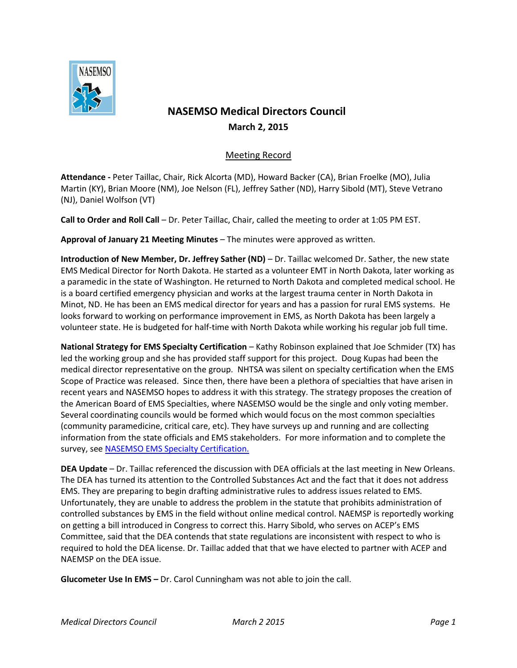

## **NASEMSO Medical Directors Council March 2, 2015**

## Meeting Record

**Attendance -** Peter Taillac, Chair, Rick Alcorta (MD), Howard Backer (CA), Brian Froelke (MO), Julia Martin (KY), Brian Moore (NM), Joe Nelson (FL), Jeffrey Sather (ND), Harry Sibold (MT), Steve Vetrano (NJ), Daniel Wolfson (VT)

**Call to Order and Roll Call** – Dr. Peter Taillac, Chair, called the meeting to order at 1:05 PM EST.

**Approval of January 21 Meeting Minutes** – The minutes were approved as written.

**Introduction of New Member, Dr. Jeffrey Sather (ND)** – Dr. Taillac welcomed Dr. Sather, the new state EMS Medical Director for North Dakota. He started as a volunteer EMT in North Dakota, later working as a paramedic in the state of Washington. He returned to North Dakota and completed medical school. He is a board certified emergency physician and works at the largest trauma center in North Dakota in Minot, ND. He has been an EMS medical director for years and has a passion for rural EMS systems. He looks forward to working on performance improvement in EMS, as North Dakota has been largely a volunteer state. He is budgeted for half-time with North Dakota while working his regular job full time.

**National Strategy for EMS Specialty Certification** – Kathy Robinson explained that Joe Schmider (TX) has led the working group and she has provided staff support for this project. Doug Kupas had been the medical director representative on the group. NHTSA was silent on specialty certification when the EMS Scope of Practice was released. Since then, there have been a plethora of specialties that have arisen in recent years and NASEMSO hopes to address it with this strategy. The strategy proposes the creation of the American Board of EMS Specialties, where NASEMSO would be the single and only voting member. Several coordinating councils would be formed which would focus on the most common specialties (community paramedicine, critical care, etc). They have surveys up and running and are collecting information from the state officials and EMS stakeholders. For more information and to complete the survey, see [NASEMSO EMS Specialty](http://www.nasemso.org/Projects/EMSEducation/EMS-Specialty-Certification.asp) Certification.

**DEA Update** – Dr. Taillac referenced the discussion with DEA officials at the last meeting in New Orleans. The DEA has turned its attention to the Controlled Substances Act and the fact that it does not address EMS. They are preparing to begin drafting administrative rules to address issues related to EMS. Unfortunately, they are unable to address the problem in the statute that prohibits administration of controlled substances by EMS in the field without online medical control. NAEMSP is reportedly working on getting a bill introduced in Congress to correct this. Harry Sibold, who serves on ACEP's EMS Committee, said that the DEA contends that state regulations are inconsistent with respect to who is required to hold the DEA license. Dr. Taillac added that that we have elected to partner with ACEP and NAEMSP on the DEA issue.

**Glucometer Use In EMS –** Dr. Carol Cunningham was not able to join the call.

*Medical Directors Council March 2 2015 Page 1*